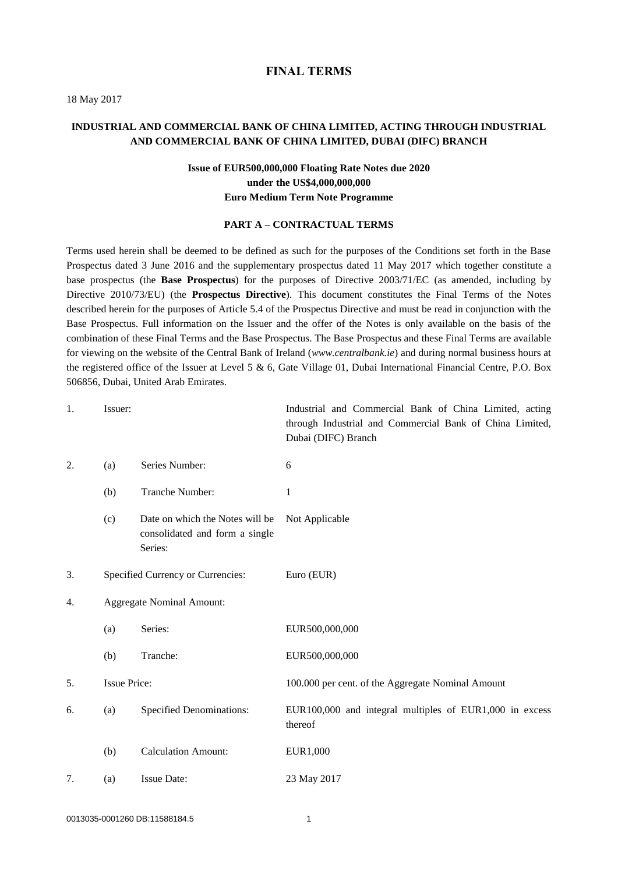#### **FINAL TERMS**

18 May 2017

# **INDUSTRIAL AND COMMERCIAL BANK OF CHINA LIMITED, ACTING THROUGH INDUSTRIAL AND COMMERCIAL BANK OF CHINA LIMITED, DUBAI (DIFC) BRANCH**

# **Issue of EUR500,000,000 Floating Rate Notes due 2020 under the US\$4,000,000,000 Euro Medium Term Note Programme**

#### **PART A – CONTRACTUAL TERMS**

Terms used herein shall be deemed to be defined as such for the purposes of the Conditions set forth in the Base Prospectus dated 3 June 2016 and the supplementary prospectus dated 11 May 2017 which together constitute a base prospectus (the **Base Prospectus**) for the purposes of Directive 2003/71/EC (as amended, including by Directive 2010/73/EU) (the **Prospectus Directive**). This document constitutes the Final Terms of the Notes described herein for the purposes of Article 5.4 of the Prospectus Directive and must be read in conjunction with the Base Prospectus. Full information on the Issuer and the offer of the Notes is only available on the basis of the combination of these Final Terms and the Base Prospectus. The Base Prospectus and these Final Terms are available for viewing on the website [of](Working%20Files/WF/of) the Central Bank of Ireland (*www.centralbank.ie*) and during normal business hours at the registered office of the Issuer at Level 5 & 6, Gate Village 01, Dubai International Financial Centre, P.O. Box 506856, Dubai, United Arab Emirates.

| 1.               | Issuer:                           |                                                                              | Industrial and Commercial Bank of China Limited, acting<br>through Industrial and Commercial Bank of China Limited,<br>Dubai (DIFC) Branch |
|------------------|-----------------------------------|------------------------------------------------------------------------------|--------------------------------------------------------------------------------------------------------------------------------------------|
| 2.               | (a)                               | Series Number:                                                               | 6                                                                                                                                          |
|                  | (b)                               | Tranche Number:                                                              | 1                                                                                                                                          |
|                  | (c)                               | Date on which the Notes will be<br>consolidated and form a single<br>Series: | Not Applicable                                                                                                                             |
| 3.               | Specified Currency or Currencies: |                                                                              | Euro (EUR)                                                                                                                                 |
| $\overline{4}$ . | <b>Aggregate Nominal Amount:</b>  |                                                                              |                                                                                                                                            |
|                  | (a)                               | Series:                                                                      | EUR500,000,000                                                                                                                             |
|                  | (b)                               | Tranche:                                                                     | EUR500,000,000                                                                                                                             |
| 5.               | <b>Issue Price:</b>               |                                                                              | 100.000 per cent. of the Aggregate Nominal Amount                                                                                          |
| 6.               | (a)                               | <b>Specified Denominations:</b>                                              | EUR100,000 and integral multiples of EUR1,000 in excess<br>thereof                                                                         |
|                  | (b)                               | <b>Calculation Amount:</b>                                                   | EUR1,000                                                                                                                                   |
| 7.               | <b>Issue Date:</b><br>(a)         |                                                                              | 23 May 2017                                                                                                                                |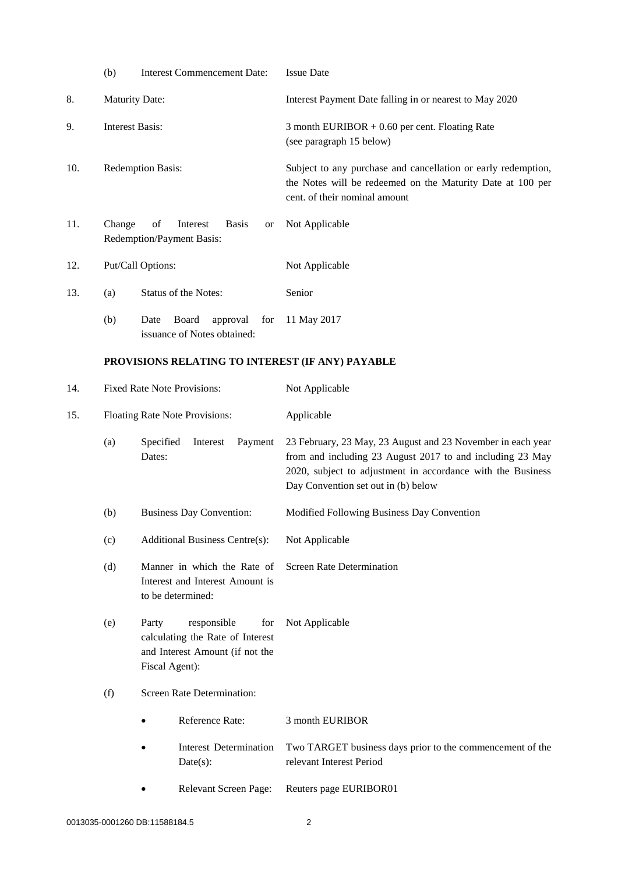|     | (b)                                                                                                                                                              | <b>Interest Commencement Date:</b>                                                  | <b>Issue Date</b>                                                                                                                                                                                                              |  |  |  |
|-----|------------------------------------------------------------------------------------------------------------------------------------------------------------------|-------------------------------------------------------------------------------------|--------------------------------------------------------------------------------------------------------------------------------------------------------------------------------------------------------------------------------|--|--|--|
| 8.  | <b>Maturity Date:</b>                                                                                                                                            |                                                                                     | Interest Payment Date falling in or nearest to May 2020                                                                                                                                                                        |  |  |  |
| 9.  | <b>Interest Basis:</b>                                                                                                                                           |                                                                                     | 3 month EURIBOR $+0.60$ per cent. Floating Rate<br>(see paragraph 15 below)                                                                                                                                                    |  |  |  |
| 10. |                                                                                                                                                                  | Redemption Basis:                                                                   | Subject to any purchase and cancellation or early redemption,<br>the Notes will be redeemed on the Maturity Date at 100 per<br>cent. of their nominal amount                                                                   |  |  |  |
| 11. | Change                                                                                                                                                           | of<br><b>Basis</b><br>Interest<br>or<br>Redemption/Payment Basis:                   | Not Applicable                                                                                                                                                                                                                 |  |  |  |
| 12. |                                                                                                                                                                  | Put/Call Options:                                                                   | Not Applicable                                                                                                                                                                                                                 |  |  |  |
| 13. | (a)                                                                                                                                                              | Status of the Notes:                                                                | Senior                                                                                                                                                                                                                         |  |  |  |
|     | (b)                                                                                                                                                              | Board<br>Date<br>approval<br>for<br>issuance of Notes obtained:                     | 11 May 2017                                                                                                                                                                                                                    |  |  |  |
|     |                                                                                                                                                                  | PROVISIONS RELATING TO INTEREST (IF ANY) PAYABLE                                    |                                                                                                                                                                                                                                |  |  |  |
| 14. |                                                                                                                                                                  | <b>Fixed Rate Note Provisions:</b>                                                  | Not Applicable                                                                                                                                                                                                                 |  |  |  |
| 15. | Floating Rate Note Provisions:                                                                                                                                   |                                                                                     | Applicable                                                                                                                                                                                                                     |  |  |  |
|     | (a)                                                                                                                                                              | Specified<br>Interest<br>Payment<br>Dates:                                          | 23 February, 23 May, 23 August and 23 November in each year<br>from and including 23 August 2017 to and including 23 May<br>2020, subject to adjustment in accordance with the Business<br>Day Convention set out in (b) below |  |  |  |
|     | (b)                                                                                                                                                              | <b>Business Day Convention:</b>                                                     | Modified Following Business Day Convention                                                                                                                                                                                     |  |  |  |
|     | (c)                                                                                                                                                              | <b>Additional Business Centre(s):</b>                                               | Not Applicable                                                                                                                                                                                                                 |  |  |  |
|     | (d)                                                                                                                                                              | Manner in which the Rate of<br>Interest and Interest Amount is<br>to be determined: | <b>Screen Rate Determination</b>                                                                                                                                                                                               |  |  |  |
|     | responsible<br>(e)<br>Party<br>for<br>calculating the Rate of Interest<br>and Interest Amount (if not the<br>Fiscal Agent):<br>Screen Rate Determination:<br>(f) |                                                                                     | Not Applicable                                                                                                                                                                                                                 |  |  |  |
|     |                                                                                                                                                                  |                                                                                     |                                                                                                                                                                                                                                |  |  |  |
|     |                                                                                                                                                                  | Reference Rate:                                                                     | 3 month EURIBOR                                                                                                                                                                                                                |  |  |  |
|     |                                                                                                                                                                  | <b>Interest Determination</b><br>$Date(s)$ :                                        | Two TARGET business days prior to the commencement of the<br>relevant Interest Period                                                                                                                                          |  |  |  |
|     |                                                                                                                                                                  | Relevant Screen Page:                                                               | Reuters page EURIBOR01                                                                                                                                                                                                         |  |  |  |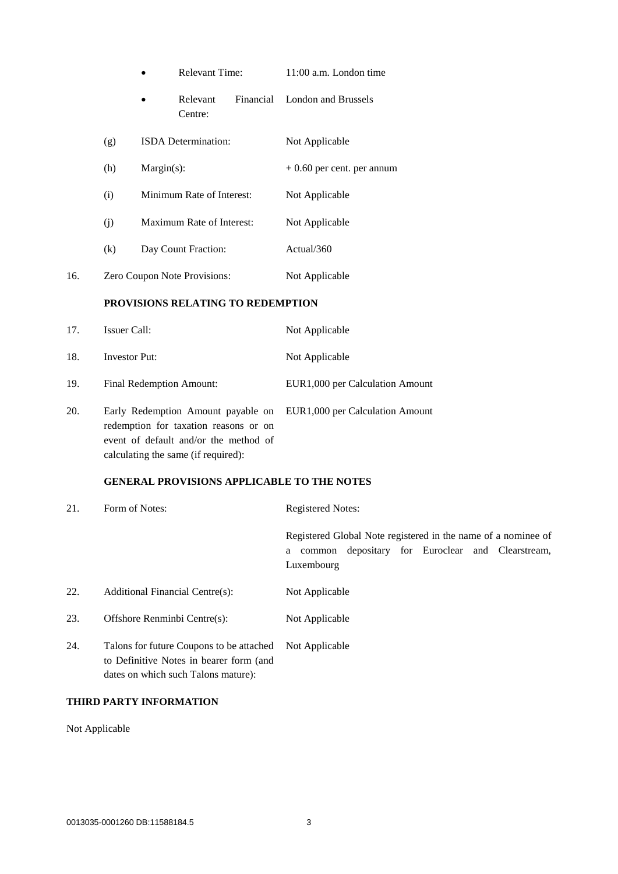|     | <b>Relevant Time:</b>           |            |                                   | 11:00 a.m. London time |                             |
|-----|---------------------------------|------------|-----------------------------------|------------------------|-----------------------------|
|     |                                 |            | Relevant<br>Centre:               | Financial              | London and Brussels         |
|     | (g)                             |            | ISDA Determination:               |                        | Not Applicable              |
|     | (h)                             | Margin(s): |                                   |                        | $+0.60$ per cent. per annum |
|     | (i)                             |            | Minimum Rate of Interest:         |                        | Not Applicable              |
|     | (j)                             |            | Maximum Rate of Interest:         |                        | Not Applicable              |
|     | (k)                             |            | Day Count Fraction:               |                        | Actual/360                  |
| 16. |                                 |            | Zero Coupon Note Provisions:      |                        | Not Applicable              |
|     |                                 |            | PROVISIONS RELATING TO REDEMPTION |                        |                             |
| 17. | <b>Issuer Call:</b>             |            |                                   |                        | Not Applicable              |
| 18. | <b>Investor Put:</b>            |            |                                   |                        | Not Applicable              |
| 19. | <b>Final Redemption Amount:</b> |            | EUR1,000 per Calculation Amount   |                        |                             |

20. Early Redemption Amount payable on EUR1,000 per Calculation Amount redemption for taxation reasons or on event of default and/or the method of calculating the same (if required):

### **GENERAL PROVISIONS APPLICABLE TO THE NOTES**

| 21. | Form of Notes:                           | <b>Registered Notes:</b>                                                                                                             |  |  |  |
|-----|------------------------------------------|--------------------------------------------------------------------------------------------------------------------------------------|--|--|--|
|     |                                          | Registered Global Note registered in the name of a nominee of<br>common depositary for Euroclear and Clearstream,<br>a<br>Luxembourg |  |  |  |
| 22. | Additional Financial Centre(s):          | Not Applicable                                                                                                                       |  |  |  |
| 23. | Offshore Renminbi Centre(s):             | Not Applicable                                                                                                                       |  |  |  |
| 24  | Talons for future Coupons to be attached | Not Applicable                                                                                                                       |  |  |  |

24. Talons for future Coupons to be attached Not Applicable to Definitive Notes in bearer form (and dates on which such Talons mature):

# **THIRD PARTY INFORMATION**

Not Applicable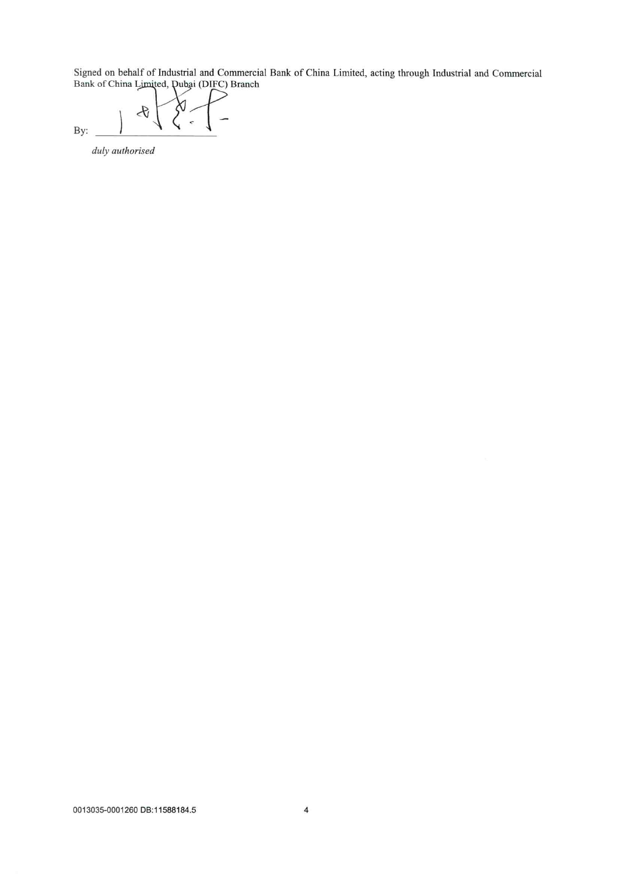Signed on behalf of Industrial and Commercial Bank of China Limited, acting through Industrial and Commercial Bank of China Limited, Dubai (DIFC) Branch

 $\mathcal{A}$ By:

duly authorised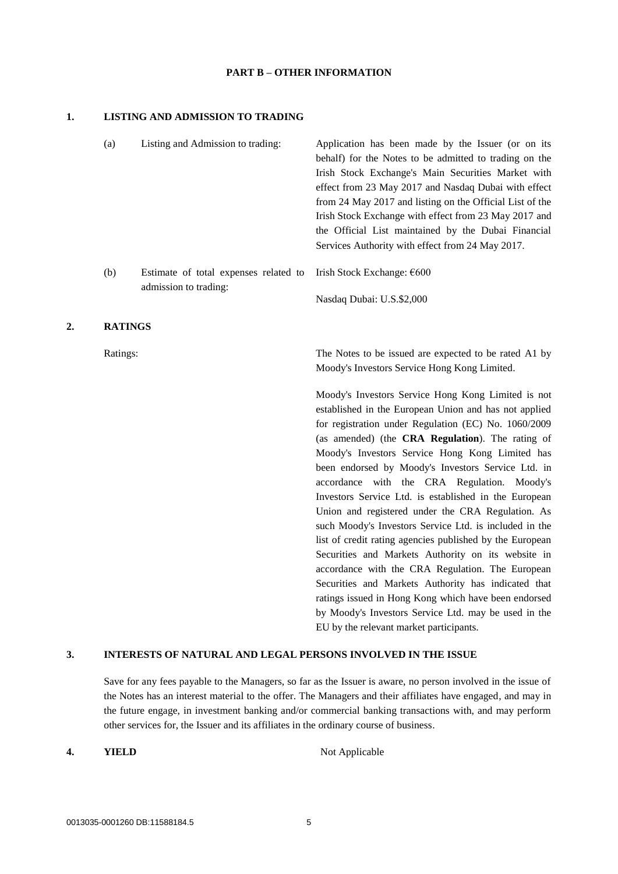#### **PART B – OTHER INFORMATION**

#### **1. LISTING AND ADMISSION TO TRADING**

|    | (a)            | Listing and Admission to trading:                              | Application has been made by the Issuer (or on its<br>behalf) for the Notes to be admitted to trading on the<br>Irish Stock Exchange's Main Securities Market with<br>effect from 23 May 2017 and Nasdaq Dubai with effect<br>from 24 May 2017 and listing on the Official List of the<br>Irish Stock Exchange with effect from 23 May 2017 and<br>the Official List maintained by the Dubai Financial<br>Services Authority with effect from 24 May 2017.                                                                                                                                                                                                                                                                    |
|----|----------------|----------------------------------------------------------------|-------------------------------------------------------------------------------------------------------------------------------------------------------------------------------------------------------------------------------------------------------------------------------------------------------------------------------------------------------------------------------------------------------------------------------------------------------------------------------------------------------------------------------------------------------------------------------------------------------------------------------------------------------------------------------------------------------------------------------|
|    | (b)            | Estimate of total expenses related to<br>admission to trading: | Irish Stock Exchange: €600                                                                                                                                                                                                                                                                                                                                                                                                                                                                                                                                                                                                                                                                                                    |
|    |                |                                                                | Nasdaq Dubai: U.S.\$2,000                                                                                                                                                                                                                                                                                                                                                                                                                                                                                                                                                                                                                                                                                                     |
| 2. | <b>RATINGS</b> |                                                                |                                                                                                                                                                                                                                                                                                                                                                                                                                                                                                                                                                                                                                                                                                                               |
|    | Ratings:       |                                                                | The Notes to be issued are expected to be rated A1 by<br>Moody's Investors Service Hong Kong Limited.                                                                                                                                                                                                                                                                                                                                                                                                                                                                                                                                                                                                                         |
|    |                |                                                                | Moody's Investors Service Hong Kong Limited is not<br>established in the European Union and has not applied<br>for registration under Regulation (EC) No. 1060/2009<br>(as amended) (the CRA Regulation). The rating of<br>Moody's Investors Service Hong Kong Limited has<br>been endorsed by Moody's Investors Service Ltd. in<br>accordance with the CRA Regulation. Moody's<br>Investors Service Ltd. is established in the European<br>Union and registered under the CRA Regulation. As<br>such Moody's Investors Service Ltd. is included in the<br>list of credit rating agencies published by the European<br>Securities and Markets Authority on its website in<br>accordance with the CRA Regulation. The European |

### **3. INTERESTS OF NATURAL AND LEGAL PERSONS INVOLVED IN THE ISSUE**

Save for any fees payable to the Managers, so far as the Issuer is aware, no person involved in the issue of the Notes has an interest material to the offer. The Managers and their affiliates have engaged, and may in the future engage, in investment banking and/or commercial banking transactions with, and may perform other services for, the Issuer and its affiliates in the ordinary course of business.

**4. YIELD** Not Applicable

Securities and Markets Authority has indicated that ratings issued in Hong Kong which have been endorsed by Moody's Investors Service Ltd. may be used in the

EU by the relevant market participants.